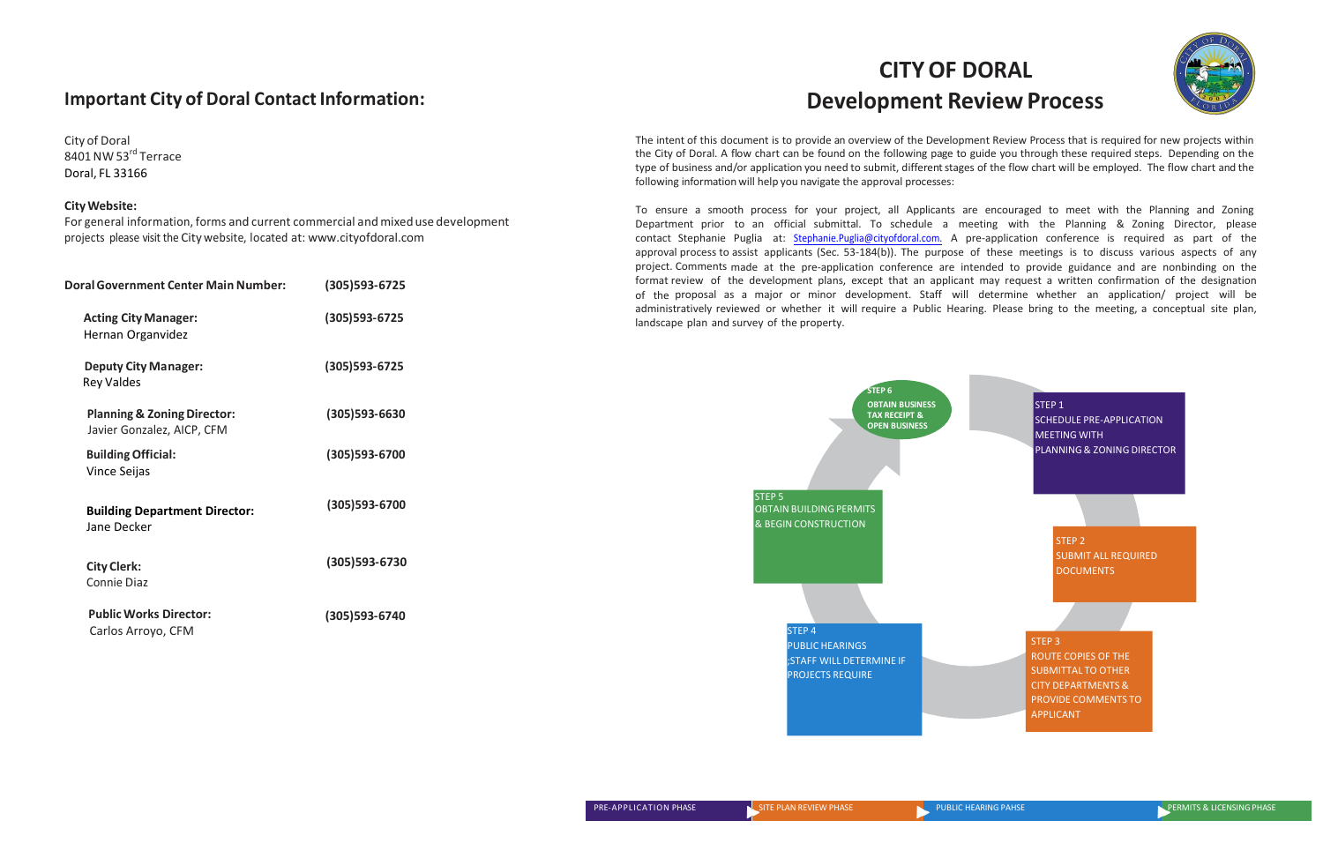## **Important City of Doral Contact Information:**

City of Doral 8401 NW 53<sup>rd</sup> Terrace Doral, FL 33166

## **CityWebsite:**

For general information, forms and current commercial and mixed use development projects please visit the City website, located at: [www.cityofdoral.com](http://www.cityofdoral.com/)

The intent of this document is to provide an overview of the Development Review Process that is required for new projects within the City of Doral. A flow chart can be found on the following page to guide you through these required steps. Depending on the type of business and/or application you need to submit, different stages of the flow chart will be employed. The flow chart and the following information will help you navigate the approval processes:

## **CITYOF DORAL Development Review Process**



To ensure a smooth process for your project, all Applicants are encouraged to meet with the Planning and Zoning Department prior to an official submittal. To schedule a meeting with the Planning & Zoning Director, please contact Stephanie Puglia at: Stephanie.Puglia@cityofdoral.com. A pre-application conference is required as part of the approval process to assist applicants (Sec. 53-184(b)). The purpose of these meetings is to discuss various aspects of any project. Comments made at the pre-application conference are intended to provide guidance and are nonbinding on the format review of the development plans, except that an applicant may request a written confirmation of the designation of the proposal as a major or minor development. Staff will determine whether an application/ project will be administratively reviewed or whether it will require a Public Hearing. Please bring to the meeting, a conceptual site plan, landscape plan and survey of the property.

| <b>Doral Government Center Main Number:</b>                          | (305) 593-6725    |
|----------------------------------------------------------------------|-------------------|
| <b>Acting City Manager:</b><br>Hernan Organvidez                     | $(305)593 - 6725$ |
| <b>Deputy City Manager:</b><br><b>Rey Valdes</b>                     | $(305)$ 593-6725  |
| <b>Planning &amp; Zoning Director:</b><br>Javier Gonzalez, AICP, CFM | $(305)$ 593-6630  |
| <b>Building Official:</b><br><b>Vince Seijas</b>                     | (305)593-6700     |
| <b>Building Department Director:</b><br>Jane Decker                  | (305)593-6700     |
| <b>City Clerk:</b><br><b>Connie Diaz</b>                             | (305) 593-6730    |
| <b>Public Works Director:</b><br>Carlos Arroyo, CFM                  | (305)593-6740     |